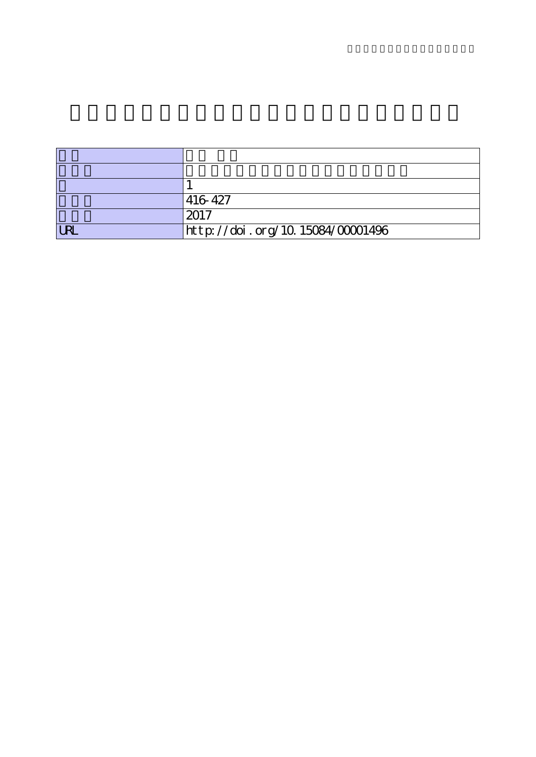|            | 416 427                          |
|------------|----------------------------------|
|            | 2017                             |
| <b>LRI</b> | http://doi.org/10.15084/00001496 |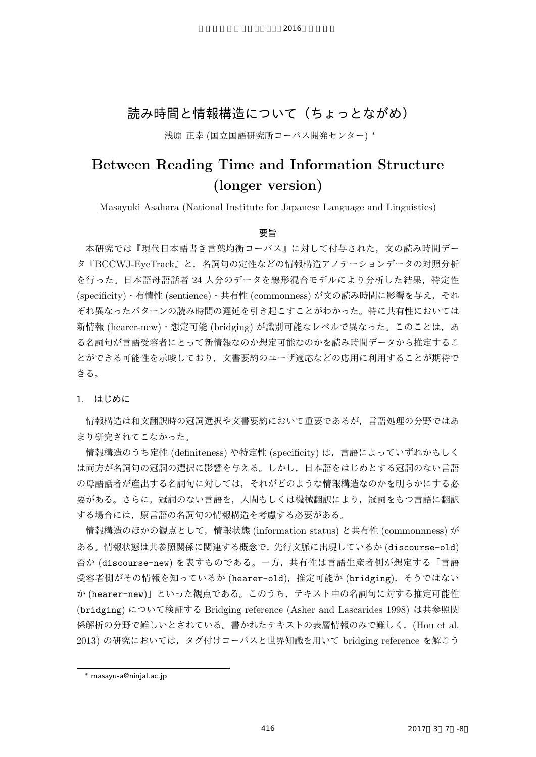## 読み時間と情報構造について(ちょっとながめ)

2016

浅原 正幸 (国立国語研究所コーパス開発センター) *∗*

# **Between Reading Time and Information Structure (longer version)**

Masayuki Asahara (National Institute for Japanese Language and Linguistics)

## 要旨

本研究では『現代日本語書き言葉均衡コーパス』に対して付与された,文の読み時間デー タ『BCCWJ-EyeTrack』と,名詞句の定性などの情報構造アノテーションデータの対照分析 を行った。日本語母語話者 24 人分のデータを線形混合モデルにより分析した結果,特定性 (specificity)・有情性 (sentience)・共有性 (commonness) が文の読み時間に影響を与え,それ ぞれ異なったパターンの読み時間の遅延を引き起こすことがわかった。特に共有性においては 新情報 (hearer-new) · 想定可能 (bridging) が識別可能なレベルで異なった。このことは、あ る名詞句が言語受容者にとって新情報なのか想定可能なのかを読み時間データから推定するこ とができる可能性を示唆しており,文書要約のユーザ適応などの応用に利用することが期待で きる。

1. はじめに

情報構造は和文翻訳時の冠詞選択や文書要約において重要であるが,言語処理の分野ではあ まり研究されてこなかった。

情報構造のうち定性 (definiteness) や特定性 (specificity) は,言語によっていずれかもしく は両方が名詞句の冠詞の選択に影響を与える。しかし,日本語をはじめとする冠詞のない言語 の母語話者が産出する名詞句に対しては,それがどのような情報構造なのかを明らかにする必 要がある。さらに,冠詞のない言語を,人間もしくは機械翻訳により,冠詞をもつ言語に翻訳 する場合には,原言語の名詞句の情報構造を考慮する必要がある。

情報構造のほかの観点として,情報状態 (information status) と共有性 (commonnness) が ある。情報状態は共参照関係に関連する概念で,先行文脈に出現しているか (discourse-old) 否か (discourse-new) を表すものである。一方,共有性は言語生産者側が想定する「言語 受容者側がその情報を知っているか (hearer-old),推定可能か (bridging), そうではない か (hearer-new)」といった観点である。このうち,テキスト中の名詞句に対する推定可能性 (bridging) について検証する Bridging reference (Asher and Lascarides 1998) は共参照関 係解析の分野で難しいとされている。書かれたテキストの表層情報のみで難しく,(Hou et al. 2013) の研究においては,タグ付けコーパスと世界知識を用いて bridging reference を解こう

*<sup>∗</sup>* masayu-a@ninjal.ac.jp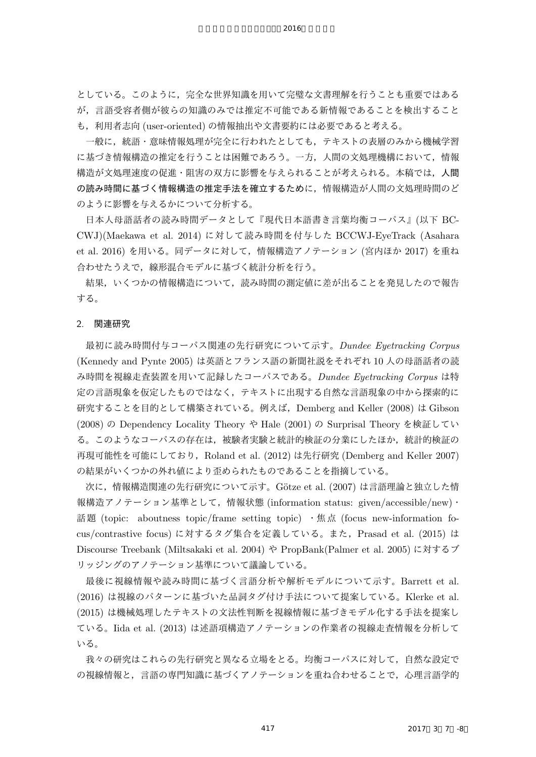としている。このように,完全な世界知識を用いて完璧な文書理解を行うことも重要ではある が,言語受容者側が彼らの知識のみでは推定不可能である新情報であることを検出すること も,利用者志向 (user-oriented) の情報抽出や文書要約には必要であると考える。

2016

一般に,統語・意味情報処理が完全に行われたとしても,テキストの表層のみから機械学習 に基づき情報構造の推定を行うことは困難であろう。一方,人間の文処理機構において,情報 構造が文処理速度の促進・阻害の双方に影響を与えられることが考えられる。本稿では,人間 の読み時間に基づく情報構造の推定手法を確立するために,情報構造が人間の文処理時間のど のように影響を与えるかについて分析する。

日本人母語話者の読み時間データとして『現代日本語書き言葉均衡コーパス』(以下 BC-CWJ)(Maekawa et al. 2014) に対して読み時間を付与した BCCWJ-EyeTrack (Asahara et al. 2016) を用いる。同データに対して,情報構造アノテーション (宮内ほか 2017) を重ね 合わせたうえで,線形混合モデルに基づく統計分析を行う。

結果,いくつかの情報構造について,読み時間の測定値に差が出ることを発見したので報告 する。

#### 2. 関連研究

最初に読み時間付与コーパス関連の先行研究について示す。*Dundee Eyetracking Corpus* (Kennedy and Pynte 2005) は英語とフランス語の新聞社説をそれぞれ 10 人の母語話者の読 み時間を視線走査装置を用いて記録したコーパスである。*Dundee Eyetracking Corpus* は特 定の言語現象を仮定したものではなく,テキストに出現する自然な言語現象の中から探索的に 研究することを目的として構築されている。例えば,Demberg and Keller (2008) は Gibson (2008) の Dependency Locality Theory や Hale (2001) の Surprisal Theory を検証してい る。このようなコーパスの存在は,被験者実験と統計的検証の分業にしたほか,統計的検証の 再現可能性を可能にしており, Roland et al. (2012) は先行研究 (Demberg and Keller 2007) の結果がいくつかの外れ値により歪められたものであることを指摘している。

次に,情報構造関連の先行研究について示す。Götze et al. (2007) は言語理論と独立した情 報構造アノテーション基準として,情報状態 (information status: given/accessible/new)・ 話題 (topic: aboutness topic/frame setting topic) ・焦点 (focus new-information focus/contrastive focus) に対するタグ集合を定義している。また,Prasad et al. (2015) は Discourse Treebank (Miltsakaki et al. 2004) や PropBank(Palmer et al. 2005) に対するブ リッジングのアノテーション基準について議論している。

最後に視線情報や読み時間に基づく言語分析や解析モデルについて示す。Barrett et al. (2016) は視線のパターンに基づいた品詞タグ付け手法について提案している。Klerke et al. (2015) は機械処理したテキストの文法性判断を視線情報に基づきモデル化する手法を提案し ている。Iida et al. (2013) は述語項構造アノテーションの作業者の視線走査情報を分析して いる。

我々の研究はこれらの先行研究と異なる立場をとる。均衡コーパスに対して,自然な設定で の視線情報と,言語の専門知識に基づくアノテーションを重ね合わせることで,心理言語学的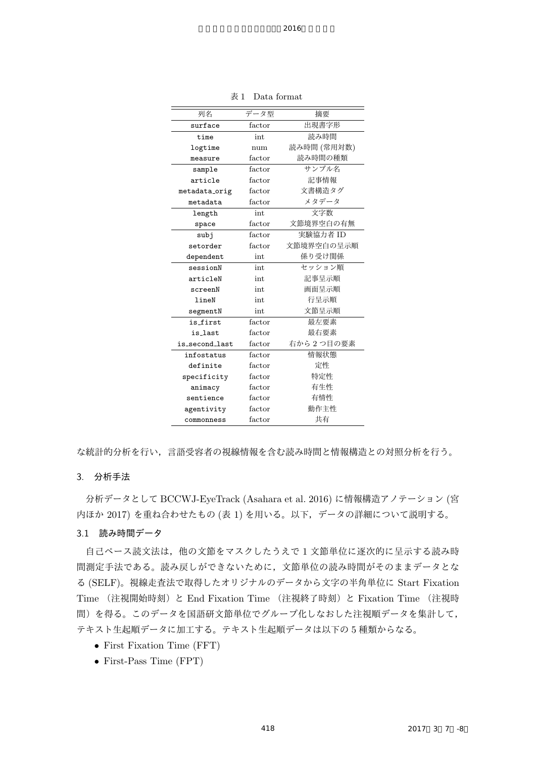| 列名             | データ型   | 摘要          |
|----------------|--------|-------------|
| surface        | factor | 出現書字形       |
| time           | int    | 読み時間        |
| logtime        | num    | 読み時間 (常用対数) |
| measure        | factor | 読み時間の種類     |
| sample         | factor | サンプル名       |
| article        | factor | 記事情報        |
| metadata_orig  | factor | 文書構造タグ      |
| metadata       | factor | メタデータ       |
| length         | int    | 文字数         |
| space          | factor | 文節境界空白の有無   |
| subj           | factor | 実験協力者 ID    |
| setorder       | factor | 文節境界空白の呈示順  |
| dependent      | int    | 係り受け関係      |
| sessionN       | int    | セッション順      |
| articleN       | int    | 記事呈示順       |
| screenN        | int    | 画面呈示順       |
| lineN          | int    | 行呈示順        |
| segmentN       | int    | 文節呈示順       |
| is first       | factor | 最左要素        |
| is_last        | factor | 最右要素        |
| is_second_last | factor | 右から2つ目の要素   |
| infostatus     | factor | 情報状態        |
| definite       | factor | 定性          |
| specificity    | factor | 特定性         |
| animacy        | factor | 有生性         |
| sentience      | factor | 有情性         |
| agentivity     | factor | 動作主性        |
| commonness     | factor | 共有          |

表 1 Data format

な統計的分析を行い,言語受容者の視線情報を含む読み時間と情報構造との対照分析を行う。

## 3. 分析手法

分析データとして BCCWJ-EyeTrack (Asahara et al. 2016) に情報構造アノテーション (宮 内ほか 2017) を重ね合わせたもの (表 1) を用いる。以下,データの詳細について説明する。

### 3.1 読み時間データ

自己ペース読文法は,他の文節をマスクしたうえで 1 文節単位に逐次的に呈示する読み時 間測定手法である。読み戻しができないために,文節単位の読み時間がそのままデータとな る (SELF)。視線走査法で取得したオリジナルのデータから文字の半角単位に Start Fixation Time (注視開始時刻)と End Fixation Time (注視終了時刻)と Fixation Time (注視時 間)を得る。このデータを国語研文節単位でグループ化しなおした注視順データを集計して, テキスト生起順データに加工する。テキスト生起順データは以下の 5 種類からなる。

- *•* First Fixation Time (FFT)
- *•* First-Pass Time (FPT)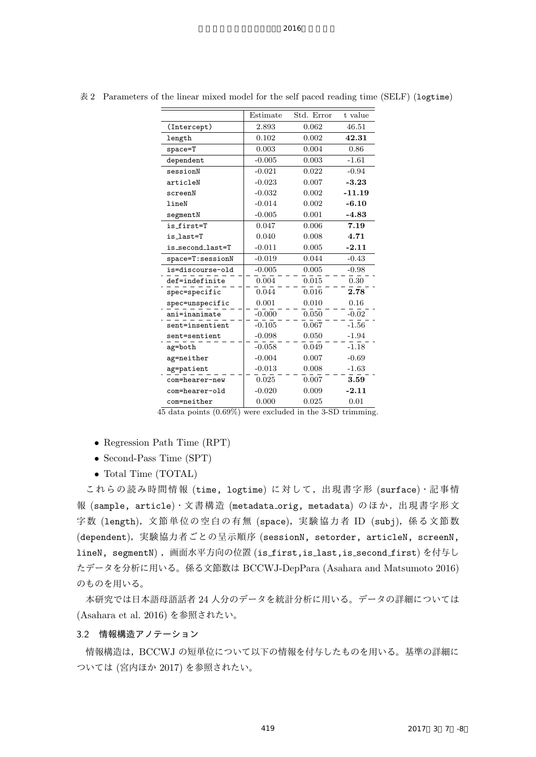|                  | Estimate | Std. Error | t value  |
|------------------|----------|------------|----------|
| (Intercept)      | 2.893    | 0.062      | 46.51    |
| length           | 0.102    | 0.002      | 42.31    |
| space=T          | 0.003    | 0.004      | 0.86     |
| dependent        | $-0.005$ | 0.003      | $-1.61$  |
| sessionN         | $-0.021$ | 0.022      | $-0.94$  |
| articleN         | $-0.023$ | 0.007      | $-3.23$  |
| screenN          | $-0.032$ | 0.002      | $-11.19$ |
| lineN            | $-0.014$ | 0.002      | $-6.10$  |
| segmentN         | $-0.005$ | 0.001      | $-4.83$  |
| is first=T       | 0.047    | 0.006      | 7.19     |
| is_last=T        | 0.040    | 0.008      | 4.71     |
| is_second_last=T | $-0.011$ | 0.005      | $-2.11$  |
| space=T:sessionN | $-0.019$ | 0.044      | $-0.43$  |
| is=discourse-old | $-0.005$ | 0.005      | $-0.98$  |
| def=indefinite   | 0.004    | 0.015      | 0.30     |
| spec=specific    | 0.044    | 0.016      | 2.78     |
| spec=unspecific  | 0.001    | 0.010      | 0.16     |
| ani=inanimate    | $-0.000$ | 0.050      | $-0.02$  |
| sent=insentient  | $-0.105$ | 0.067      | $-1.56$  |
| sent=sentient    | $-0.098$ | 0.050      | $-1.94$  |
| ag=both          | $-0.058$ | 0.049      | $-1.18$  |
| ag=neither       | $-0.004$ | 0.007      | $-0.69$  |
| ag=patient       | $-0.013$ | 0.008      | $-1.63$  |
| com=hearer-new   | 0.025    | 0.007      | 3.59     |
| com=hearer-old   | $-0.020$ | 0.009      | $-2.11$  |
| com=neither      | 0.000    | 0.025      | 0.01     |

表 2 Parameters of the linear mixed model for the self paced reading time (SELF) (logtime)

45 data points (0.69%) were excluded in the 3-SD trimming.

- *•* Regression Path Time (RPT)
- *•* Second-Pass Time (SPT)
- *•* Total Time (TOTAL)

これらの読み時間情報 (time, logtime) に対して,出現書字形 (surface)・記事情 報 (sample, article)・文書構造 (metadata orig, metadata) のほか,出現書字形文 字数 (length),文節単位の空白の有無 (space),実験協力者 ID (subj),係る文節数 (dependent),実験協力者ごとの呈示順序 (sessionN, setorder, articleN, screenN, lineN, segmentN), 画面水平方向の位置 (is\_first,is\_last,is\_second\_first) を付与し たデータを分析に用いる。係る文節数は BCCWJ-DepPara (Asahara and Matsumoto 2016) のものを用いる。

本研究では日本語母語話者 24 人分のデータを統計分析に用いる。データの詳細については (Asahara et al. 2016) を参照されたい。

## 3.2 情報構造アノテーション

情報構造は,BCCWJ の短単位について以下の情報を付与したものを用いる。基準の詳細に ついては (宮内ほか 2017) を参照されたい。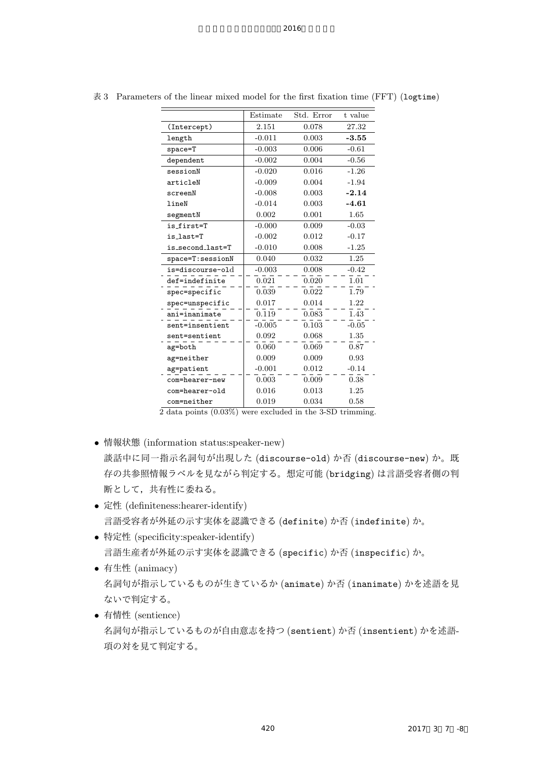|                  | Estimate | Std. Error | t value |
|------------------|----------|------------|---------|
| (Intercept)      | 2.151    | 0.078      | 27.32   |
| length           | $-0.011$ | 0.003      | $-3.55$ |
| $space = T$      | $-0.003$ | 0.006      | $-0.61$ |
| dependent        | $-0.002$ | 0.004      | $-0.56$ |
| sessionN         | $-0.020$ | 0.016      | $-1.26$ |
| articleN         | $-0.009$ | 0.004      | $-1.94$ |
| screenN          | $-0.008$ | 0.003      | $-2.14$ |
| lineN            | $-0.014$ | 0.003      | $-4.61$ |
| segmentN         | 0.002    | 0.001      | 1.65    |
| is first=T       | $-0.000$ | 0.009      | $-0.03$ |
| is_last=T        | $-0.002$ | 0.012      | $-0.17$ |
| is_second_last=T | $-0.010$ | 0.008      | $-1.25$ |
| space=T:sessionN | 0.040    | 0.032      | 1.25    |
| is=discourse-old | $-0.003$ | 0.008      | $-0.42$ |
| def=indefinite   | 0.021    | 0.020      | 1.01    |
| spec=specific    | 0.039    | 0.022      | 1.79    |
| spec=unspecific  | 0.017    | 0.014      | 1.22    |
| ani=inanimate    | 0.119    | 0.083      | 1.43    |
| sent=insentient  | $-0.005$ | 0.103      | $-0.05$ |
| sent=sentient    | 0.092    | 0.068      | 1.35    |
| ag=both          | 0.060    | 0.069      | 0.87    |
| ag=neither       | 0.009    | 0.009      | 0.93    |
| ag=patient       | $-0.001$ | 0.012      | $-0.14$ |
| com=hearer-new   | 0.003    | 0.009      | 0.38    |
| com=hearer-old   | 0.016    | 0.013      | 1.25    |
| com=neither      | 0.019    | 0.034      | 0.58    |

表 3 Parameters of the linear mixed model for the first fixation time (FFT) (logtime)

2 data points (0.03%) were excluded in the 3-SD trimming.

- *•* 情報状態 (information status:speaker-new) 談話中に同一指示名詞句が出現した (discourse-old) か否 (discourse-new) か。既 存の共参照情報ラベルを見ながら判定する。想定可能 (bridging) は言語受容者側の判 断として,共有性に委ねる。
- *•* 定性 (definiteness:hearer-identify) 言語受容者が外延の示す実体を認識できる (definite) か否 (indefinite) か。
- *•* 特定性 (specificity:speaker-identify) 言語生産者が外延の示す実体を認識できる (specific) か否 (inspecific) か。
- *•* 有生性 (animacy) 名詞句が指示しているものが生きているか (animate) か否 (inanimate) かを述語を見 ないで判定する。
- *•* 有情性 (sentience) 名詞句が指示しているものが自由意志を持つ (sentient) か否 (insentient) かを述語-項の対を見て判定する。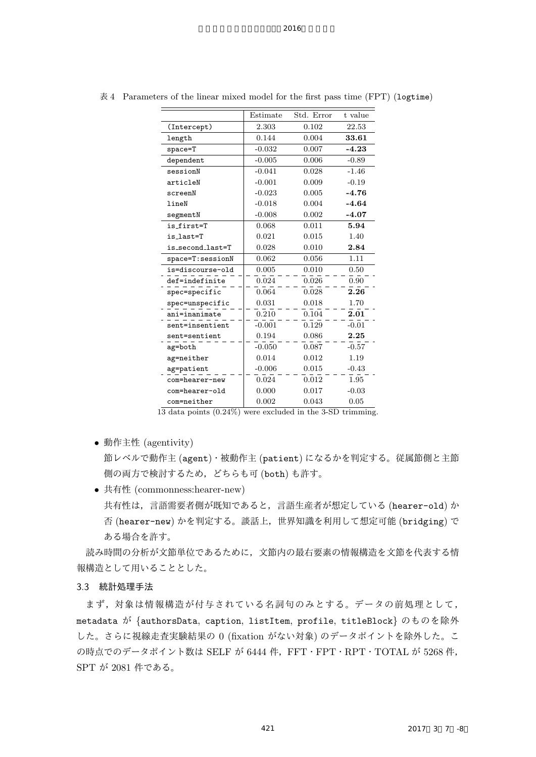|                  | Estimate | Std. Error | t value |
|------------------|----------|------------|---------|
| (Intercept)      | 2.303    | 0.102      | 22.53   |
| length           | 0.144    | 0.004      | 33.61   |
| $space = T$      | $-0.032$ | 0.007      | $-4.23$ |
| dependent        | $-0.005$ | 0.006      | $-0.89$ |
| sessionN         | $-0.041$ | 0.028      | $-1.46$ |
| articleN         | $-0.001$ | 0.009      | $-0.19$ |
| screenN          | $-0.023$ | 0.005      | $-4.76$ |
| lineN            | $-0.018$ | 0.004      | $-4.64$ |
| segmentN         | $-0.008$ | 0.002      | $-4.07$ |
| is_first=T       | 0.068    | 0.011      | 5.94    |
| is_last=T        | 0.021    | 0.015      | 1.40    |
| is_second_last=T | 0.028    | 0.010      | 2.84    |
| space=T:sessionN | 0.062    | 0.056      | 1.11    |
| is=discourse-old | 0.005    | 0.010      | 0.50    |
| def=indefinite   | 0.024    | 0.026      | 0.90    |
| spec=specific    | 0.064    | 0.028      | 2.26    |
| spec=unspecific  | 0.031    | 0.018      | 1.70    |
| ani=inanimate    | 0.210    | 0.104      | 2.01    |
| sent=insentient  | $-0.001$ | 0.129      | $-0.01$ |
| sent=sentient    | 0.194    | 0.086      | 2.25    |
| ag=both          | $-0.050$ | 0.087      | $-0.57$ |
| ag=neither       | 0.014    | 0.012      | 1.19    |
| ag=patient       | $-0.006$ | 0.015      | $-0.43$ |
| com=hearer-new   | 0.024    | 0.012      | 1.95    |
| com=hearer-old   | 0.000    | 0.017      | $-0.03$ |
| com=neither      | 0.002    | 0.043      | 0.05    |

表 4 Parameters of the linear mixed model for the first pass time (FPT) (logtime)

13 data points (0.24%) were excluded in the 3-SD trimming.

*•* 動作主性 (agentivity)

節レベルで動作主 (agent)・被動作主 (patient) になるかを判定する。従属節側と主節 側の両方で検討するため,どちらも可 (both) も許す。

*•* 共有性 (commonness:hearer-new) 共有性は,言語需要者側が既知であると,言語生産者が想定している (hearer-old) か 否 (hearer-new) かを判定する。談話上,世界知識を利用して想定可能 (bridging) で ある場合を許す。

読み時間の分析が文節単位であるために,文節内の最右要素の情報構造を文節を代表する情 報構造として用いることとした。

#### 3.3 統計処理手法

まず,対象は情報構造が付与されている名詞句のみとする。データの前処理として, metadata が *{*authorsData, caption, listItem, profile, titleBlock*}* のものを除外 した。さらに視線走査実験結果の 0 (fixation がない対象) のデータポイントを除外した。こ の時点でのデータポイント数は SELF が 6444件, FFT・FPT・RPT・TOTAL が 5268件, SPT が 2081 件である。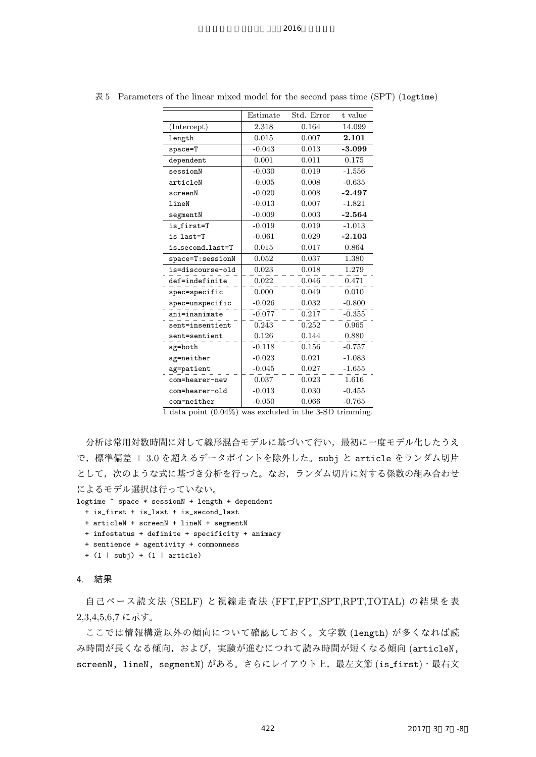|                  | Estimate | Std. Error | t value  |
|------------------|----------|------------|----------|
| (Intercept)      | 2.318    | 0.164      | 14.099   |
| length           | 0.015    | 0.007      | 2.101    |
| $space = T$      | $-0.043$ | 0.013      | $-3.099$ |
| dependent        | 0.001    | 0.011      | 0.175    |
| sessionN         | $-0.030$ | 0.019      | $-1.556$ |
| articleN         | $-0.005$ | 0.008      | $-0.635$ |
| screenN          | $-0.020$ | 0.008      | $-2.497$ |
| lineN            | $-0.013$ | 0.007      | $-1.821$ |
| segmentN         | $-0.009$ | 0.003      | $-2.564$ |
| is first=T       | $-0.019$ | 0.019      | $-1.013$ |
| is last=T        | $-0.061$ | 0.029      | $-2.103$ |
| is_second_last=T | 0.015    | 0.017      | 0.864    |
| space=T:sessionN | 0.052    | 0.037      | 1.380    |
| is=discourse-old | 0.023    | 0.018      | 1.279    |
| def=indefinite   | 0.022    | 0.046      | 0.471    |
| spec=specific    | 0.000    | 0.049      | 0.010    |
| spec=unspecific  | $-0.026$ | 0.032      | $-0.800$ |
| ani=inanimate    | $-0.077$ | 0.217      | $-0.355$ |
| sent=insentient  | 0.243    | 0.252      | 0.965    |
| sent=sentient    | 0.126    | 0.144      | 0.880    |
| ag=both          | $-0.118$ | 0.156      | $-0.757$ |
| ag=neither       | $-0.023$ | 0.021      | $-1.083$ |
| ag=patient       | $-0.045$ | 0.027      | $-1.655$ |
| com=hearer-new   | 0.037    | 0.023      | 1.616    |
| com=hearer-old   | $-0.013$ | 0.030      | $-0.455$ |
| com=neither      | $-0.050$ | 0.066      | $-0.765$ |

表 5 Parameters of the linear mixed model for the second pass time (SPT) (logtime)

|  | 1 data point $(0.04\%)$ was excluded in the 3-SD trimming. |  |
|--|------------------------------------------------------------|--|
|--|------------------------------------------------------------|--|

分析は常用対数時間に対して線形混合モデルに基づいて行い,最初に一度モデル化したうえ で,標準偏差 *±* 3.0 を超えるデータポイントを除外した。subj と article をランダム切片 として,次のような式に基づき分析を行った。なお,ランダム切片に対する係数の組み合わせ によるモデル選択は行っていない。

```
logtime \tilde{ } space * sessionN + length + dependent
```

```
+ is_first + is_last + is_second_last
```

```
+ articleN + screenN + lineN + segmentN
```
- + infostatus + definite + specificity + animacy
- + sentience + agentivity + commonness
- + (1 | subj) + (1 | article)

## 4. 結果

自己ペース読文法 (SELF) と視線走査法 (FFT,FPT,SPT,RPT,TOTAL) の結果を表 2,3,4,5,6,7 に示す。

ここでは情報構造以外の傾向について確認しておく。文字数 (length) が多くなれば読 み時間が長くなる傾向,および,実験が進むにつれて読み時間が短くなる傾向 (articleN, screenN, lineN, segmentN) がある。さらにレイアウト上,最左文節 (is first)・最右文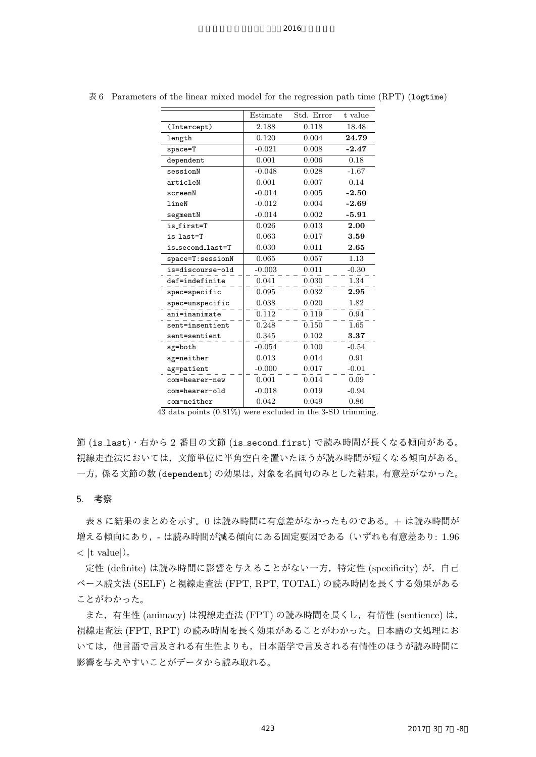|                  | Estimate | Std. Error | t value |
|------------------|----------|------------|---------|
| (Intercept)      | 2.188    | 0.118      |         |
| length           | 0.120    | 0.004      | 24.79   |
| $space = T$      | $-0.021$ | 0.008      | $-2.47$ |
| dependent        | 0.001    | 0.006      | 0.18    |
| sessionN         | $-0.048$ | 0.028      | $-1.67$ |
| articleN         | 0.001    | 0.007      | 0.14    |
| screenN          | $-0.014$ | 0.005      | $-2.50$ |
| lineN            | $-0.012$ | 0.004      | $-2.69$ |
| segmentN         | $-0.014$ | 0.002      | -5.91   |
| is first=T       | 0.026    | 0.013      | 2.00    |
| is last=T        | 0.063    | 0.017      | 3.59    |
| is_second_last=T | 0.030    | 0.011      | 2.65    |
| space=T:sessionN | 0.065    | 0.057      | 1.13    |
| is=discourse-old | $-0.003$ | 0.011      | $-0.30$ |
| def=indefinite   | 0.041    | 0.030      | 1.34    |
| spec=specific    | 0.095    | 0.032      | 2.95    |
| spec=unspecific  | 0.038    | 0.020      | 1.82    |
| ani=inanimate    | 0.112    | 0.119      | 0.94    |
| sent=insentient  | 0.248    | 0.150      | 1.65    |
| sent=sentient    | 0.345    | 0.102      | 3.37    |
| ag=both          | $-0.054$ | 0.100      | $-0.54$ |
| ag=neither       | 0.013    | 0.014      | 0.91    |
| ag=patient       | $-0.000$ | 0.017      | $-0.01$ |
| com=hearer-new   | 0.001    | 0.014      | 0.09    |
| com=hearer-old   | $-0.018$ | 0.019      | $-0.94$ |
| com=neither      | 0.042    | 0.049      | 0.86    |

表 6 Parameters of the linear mixed model for the regression path time (RPT) (logtime)

43 data points (0.81%) were excluded in the 3-SD trimming.

節 (is last)・右から 2 番目の文節 (is second first) で読み時間が長くなる傾向がある。 視線走査法においては,文節単位に半角空白を置いたほうが読み時間が短くなる傾向がある。 一方,係る文節の数 (dependent) の効果は,対象を名詞句のみとした結果,有意差がなかった。

#### 5. 考察

表 8 に結果のまとめを示す。0 は読み時間に有意差がなかったものである。+ は読み時間が 増える傾向にあり,- は読み時間が減る傾向にある固定要因である(いずれも有意差あり: 1.96 *< |*t value*|*)。

定性 (definite) は読み時間に影響を与えることがない一方, 特定性 (specificity) が, 自己 ペース読文法 (SELF) と視線走査法 (FPT, RPT, TOTAL) の読み時間を長くする効果がある ことがわかった。

また,有生性 (animacy) は視線走査法 (FPT) の読み時間を長くし,有情性 (sentience) は, 視線走査法 (FPT, RPT) の読み時間を長く効果があることがわかった。日本語の文処理にお いては,他言語で言及される有生性よりも,日本語学で言及される有情性のほうが読み時間に 影響を与えやすいことがデータから読み取れる。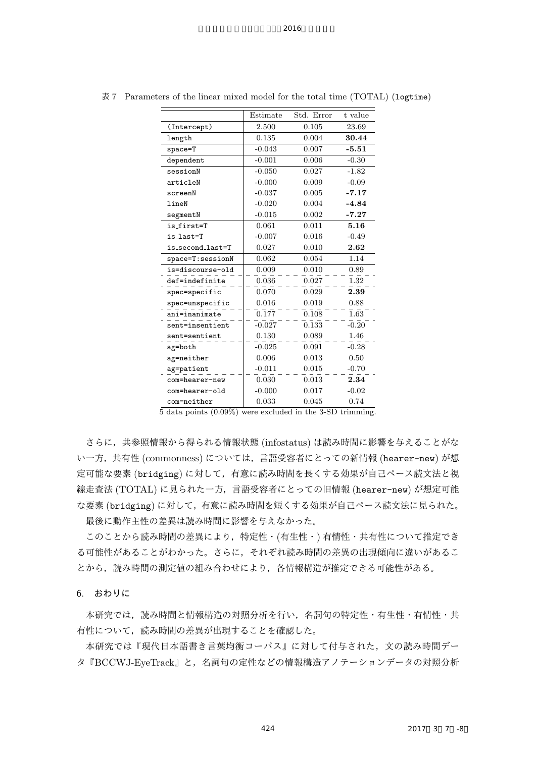|                  | Estimate | Std. Error | t value |
|------------------|----------|------------|---------|
| (Intercept)      | 2.500    | 0.105      | 23.69   |
| length           | 0.135    | 0.004      | 30.44   |
| space=T          | $-0.043$ | 0.007      | $-5.51$ |
| dependent        | $-0.001$ | 0.006      | $-0.30$ |
| sessionN         | $-0.050$ | 0.027      | $-1.82$ |
| articleN         | $-0.000$ | 0.009      | $-0.09$ |
| screenN          | $-0.037$ | 0.005      | -7.17   |
| lineN            | $-0.020$ | 0.004      | -4.84   |
| segmentN         | $-0.015$ | 0.002      | $-7.27$ |
| is first=T       | 0.061    | 0.011      | 5.16    |
| is last=T        | $-0.007$ | 0.016      | $-0.49$ |
| is_second_last=T | 0.027    | 0.010      | 2.62    |
| space=T:sessionN | 0.062    | 0.054      | 1.14    |
| is=discourse-old | 0.009    | 0.010      | 0.89    |
| def=indefinite   | 0.036    | 0.027      | 1.32    |
| spec=specific    | 0.070    | 0.029      | 2.39    |
| spec=unspecific  | 0.016    | 0.019      | 0.88    |
| ani=inanimate    | 0.177    | 0.108      | 1.63    |
| sent=insentient  | $-0.027$ | 0.133      | $-0.20$ |
| sent=sentient    | 0.130    | 0.089      | 1.46    |
| ag=both          | $-0.025$ | 0.091      | $-0.28$ |
| ag=neither       | 0.006    | 0.013      | 0.50    |
| ag=patient       | $-0.011$ | 0.015      | $-0.70$ |
| com=hearer-new   | 0.030    | 0.013      | 2.34    |
| com=hearer-old   | $-0.000$ | 0.017      | $-0.02$ |
| com=neither      | 0.033    | 0.045      | 0.74    |

表 7 Parameters of the linear mixed model for the total time (TOTAL) (logtime)

5 data points (0.09%) were excluded in the 3-SD trimming.

さらに,共参照情報から得られる情報状態 (infostatus) は読み時間に影響を与えることがな い一方,共有性 (commonness) については、言語受容者にとっての新情報 (hearer-new) が想 定可能な要素 (bridging) に対して,有意に読み時間を長くする効果が自己ペース読文法と視 線走査法 (TOTAL) に見られた一方,言語受容者にとっての旧情報 (hearer-new) が想定可能 な要素 (bridging) に対して,有意に読み時間を短くする効果が自己ペース読文法に見られた。 最後に動作主性の差異は読み時間に影響を与えなかった。

このことから読み時間の差異により,特定性・(有生性・) 有情性・共有性について推定でき る可能性があることがわかった。さらに,それぞれ読み時間の差異の出現傾向に違いがあるこ とから,読み時間の測定値の組み合わせにより,各情報構造が推定できる可能性がある。

6. おわりに

本研究では,読み時間と情報構造の対照分析を行い,名詞句の特定性・有生性・有情性・共 有性について,読み時間の差異が出現することを確認した。

本研究では『現代日本語書き言葉均衡コーパス』に対して付与された,文の読み時間デー タ『BCCWJ-EyeTrack』と,名詞句の定性などの情報構造アノテーションデータの対照分析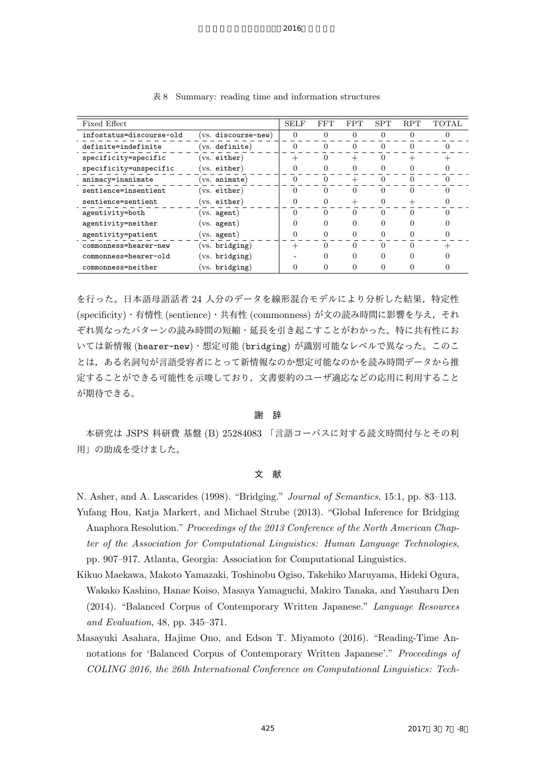| Fixed Effect             |                    | <b>SELF</b> | FFT | <b>FPT</b> | <b>SPT</b> | <b>RPT</b> | <b>TOTAL</b> |
|--------------------------|--------------------|-------------|-----|------------|------------|------------|--------------|
| infostatus=discourse-old | vs. discourse-new) | $\Omega$    | 0   | 0          |            |            |              |
| definite=indefinite      | (vs. definite)     |             | 0   | $\theta$   |            |            |              |
| specificity=specific     | vs. either)        |             | 0   |            | $\Omega$   |            |              |
| specificity=unspecific   | (vs. either)       |             |     |            |            |            |              |
| animacy=inanimate        | $(vs.$ animate)    | 0           | 0   |            |            |            |              |
| sentience=insentient     | $(vs.$ either)     | $\Omega$    | 0   | $\Omega$   | 0          | 0          |              |
| sentience=sentient       | $(vs.$ either)     |             |     |            |            |            |              |
| agentivity=both          | vs. agent)         | $\Omega$    | ∩   | $\Omega$   | ∩          | ∩          |              |
| agentivity=neither       | (vs. agent)        |             |     | 0          | 0          |            |              |
| agentivity=patient       | $(vs.$ agent)      |             |     |            |            |            |              |
| commonness=hearer-new    | (vs. bridging)     |             | 0   | $\Omega$   | ∩          | 0          |              |
| commonness=hearer-old    | $(vs.$ bridging)   |             |     | 0          | 0          |            |              |
| commonness=neither       | (vs. bridging)     |             |     |            |            |            |              |

表 8 Summary: reading time and information structures

を行った。日本語母語話者 24 人分のデータを線形混合モデルにより分析した結果,特定性 (specificity)・有情性 (sentience)・共有性 (commonness) が文の読み時間に影響を与え,それ ぞれ異なったパターンの読み時間の短縮・延長を引き起こすことがわかった。特に共有性にお いては新情報 (hearer-new)・想定可能 (bridging) が識別可能なレベルで異なった。このこ とは,ある名詞句が言語受容者にとって新情報なのか想定可能なのかを読み時間データから推 定することができる可能性を示唆しており,文書要約のユーザ適応などの応用に利用すること が期待できる。

謝 辞

本研究は JSPS 科研費 基盤 (B) 25284083 「言語コーパスに対する読文時間付与とその利 用」の助成を受けました。

#### 文 献

N. Asher, and A. Lascarides (1998). "Bridging." *Journal of Semantics*, 15:1, pp. 83–113. Yufang Hou, Katja Markert, and Michael Strube (2013). "Global Inference for Bridging Anaphora Resolution." *Proceedings of the 2013 Conference of the North American Chapter of the Association for Computational Linguistics: Human Language Technologies*, pp. 907–917. Atlanta, Georgia: Association for Computational Linguistics.

- Kikuo Maekawa, Makoto Yamazaki, Toshinobu Ogiso, Takehiko Maruyama, Hideki Ogura, Wakako Kashino, Hanae Koiso, Masaya Yamaguchi, Makiro Tanaka, and Yasuharu Den (2014). "Balanced Corpus of Contemporary Written Japanese." *Language Resources and Evaluation*, 48, pp. 345–371.
- Masayuki Asahara, Hajime Ono, and Edson T. Miyamoto (2016). "Reading-Time Annotations for 'Balanced Corpus of Contemporary Written Japanese'." *Proceedings of COLING 2016, the 26th International Conference on Computational Linguistics: Tech-*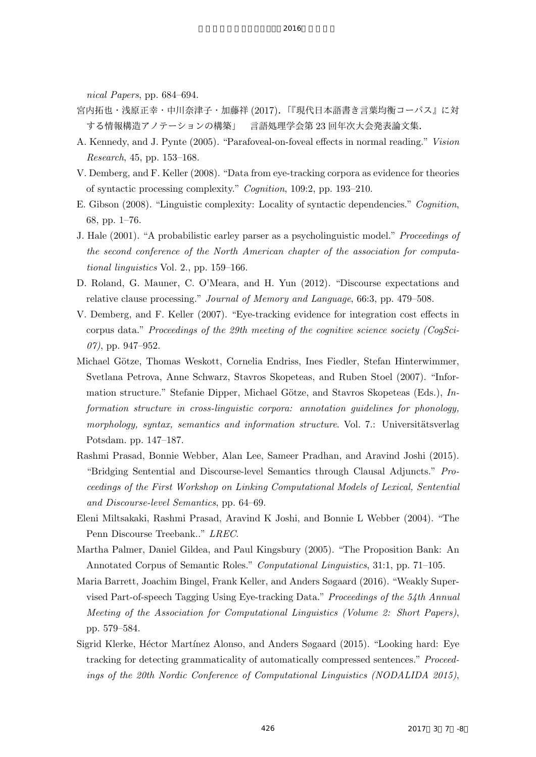*nical Papers*, pp. 684–694.

- 宮内拓也・浅原正幸・中川奈津子・加藤祥 (2017).「『現代日本語書き言葉均衡コーパス』に対 する情報構造アノテーションの構築」 言語処理学会第 23 回年次大会発表論文集.
- A. Kennedy, and J. Pynte (2005). "Parafoveal-on-foveal effects in normal reading." *Vision Research*, 45, pp. 153–168.
- V. Demberg, and F. Keller (2008). "Data from eye-tracking corpora as evidence for theories of syntactic processing complexity." *Cognition*, 109:2, pp. 193–210.
- E. Gibson (2008). "Linguistic complexity: Locality of syntactic dependencies." *Cognition*, 68, pp. 1–76.
- J. Hale (2001). "A probabilistic earley parser as a psycholinguistic model." *Proceedings of the second conference of the North American chapter of the association for computational linguistics* Vol. 2., pp. 159–166.
- D. Roland, G. Mauner, C. O'Meara, and H. Yun (2012). "Discourse expectations and relative clause processing." *Journal of Memory and Language*, 66:3, pp. 479–508.
- V. Demberg, and F. Keller (2007). "Eye-tracking evidence for integration cost effects in corpus data." *Proceedings of the 29th meeting of the cognitive science society (CogSci-07)*, pp. 947–952.
- Michael Götze, Thomas Weskott, Cornelia Endriss, Ines Fiedler, Stefan Hinterwimmer, Svetlana Petrova, Anne Schwarz, Stavros Skopeteas, and Ruben Stoel (2007). "Information structure." Stefanie Dipper, Michael Götze, and Stavros Skopeteas (Eds.), *Information structure in cross-linguistic corpora: annotation guidelines for phonology, morphology, syntax, semantics and information structure*. Vol. 7.: Universitätsverlag Potsdam. pp. 147–187.
- Rashmi Prasad, Bonnie Webber, Alan Lee, Sameer Pradhan, and Aravind Joshi (2015). "Bridging Sentential and Discourse-level Semantics through Clausal Adjuncts." *Proceedings of the First Workshop on Linking Computational Models of Lexical, Sentential and Discourse-level Semantics*, pp. 64–69.
- Eleni Miltsakaki, Rashmi Prasad, Aravind K Joshi, and Bonnie L Webber (2004). "The Penn Discourse Treebank.." *LREC*.
- Martha Palmer, Daniel Gildea, and Paul Kingsbury (2005). "The Proposition Bank: An Annotated Corpus of Semantic Roles." *Conputational Linguistics*, 31:1, pp. 71–105.
- Maria Barrett, Joachim Bingel, Frank Keller, and Anders Søgaard (2016). "Weakly Supervised Part-of-speech Tagging Using Eye-tracking Data." *Proceedings of the 54th Annual Meeting of the Association for Computational Linguistics (Volume 2: Short Papers)*, pp. 579–584.
- Sigrid Klerke, Héctor Martínez Alonso, and Anders Søgaard (2015). "Looking hard: Eye tracking for detecting grammaticality of automatically compressed sentences." *Proceedings of the 20th Nordic Conference of Computational Linguistics (NODALIDA 2015)*,